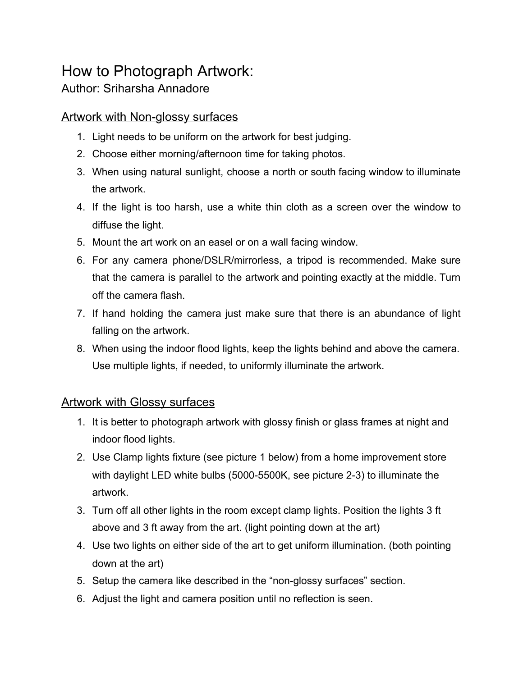## How to Photograph Artwork:

## Author: Sriharsha Annadore

## Artwork with Non-glossy surfaces

- 1. Light needs to be uniform on the artwork for best judging.
- 2. Choose either morning/afternoon time for taking photos.
- 3. When using natural sunlight, choose a north or south facing window to illuminate the artwork.
- 4. If the light is too harsh, use a white thin cloth as a screen over the window to diffuse the light.
- 5. Mount the art work on an easel or on a wall facing window.
- 6. For any camera phone/DSLR/mirrorless, a tripod is recommended. Make sure that the camera is parallel to the artwork and pointing exactly at the middle. Turn off the camera flash.
- 7. If hand holding the camera just make sure that there is an abundance of light falling on the artwork.
- 8. When using the indoor flood lights, keep the lights behind and above the camera. Use multiple lights, if needed, to uniformly illuminate the artwork.

## Artwork with Glossy surfaces

- 1. It is better to photograph artwork with glossy finish or glass frames at night and indoor flood lights.
- 2. Use Clamp lights fixture (see picture 1 below) from a home improvement store with daylight LED white bulbs (5000-5500K, see picture 2-3) to illuminate the artwork.
- 3. Turn off all other lights in the room except clamp lights. Position the lights 3 ft above and 3 ft away from the art. (light pointing down at the art)
- 4. Use two lights on either side of the art to get uniform illumination. (both pointing down at the art)
- 5. Setup the camera like described in the "non-glossy surfaces" section.
- 6. Adjust the light and camera position until no reflection is seen.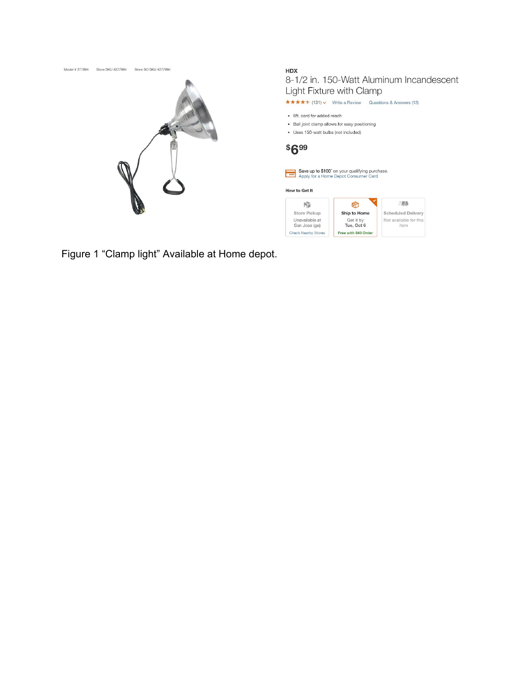

Figure 1 "Clamp light" Available at Home depot.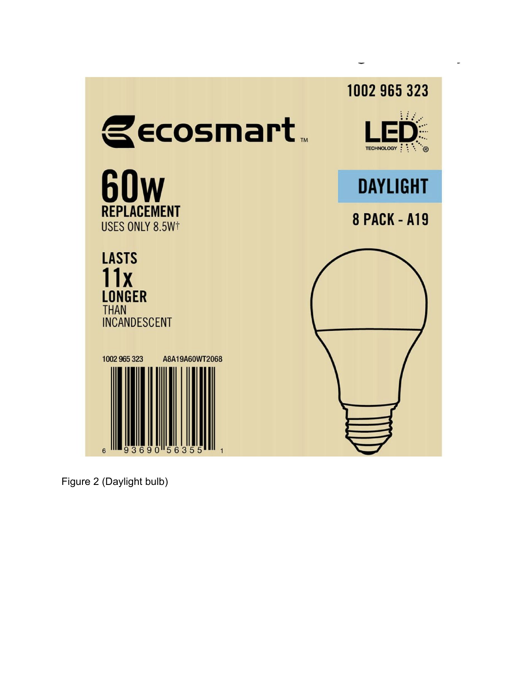

Figure 2 (Daylight bulb)